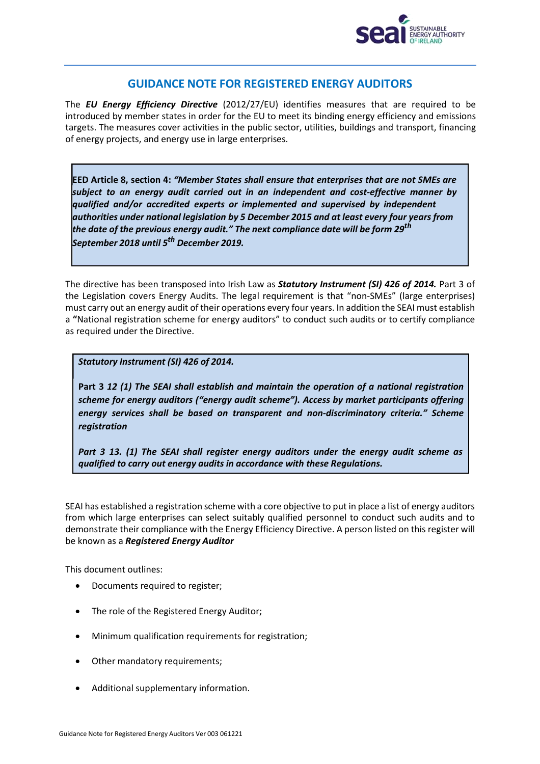

# **GUIDANCE NOTE FOR REGISTERED ENERGY AUDITORS**

The *EU Energy Efficiency Directive* (2012/27/EU) identifies measures that are required to be introduced by member states in order for the EU to meet its binding energy efficiency and emissions targets. The measures cover activities in the public sector, utilities, buildings and transport, financing of energy projects, and energy use in large enterprises.

**EED Article 8, section 4:** *"Member States shall ensure that enterprises that are not SMEs are subject to an energy audit carried out in an independent and cost-effective manner by qualified and/or accredited experts or implemented and supervised by independent authorities under national legislation by 5 December 2015 and at least every four years from the date of the previous energy audit." The next compliance date will be form 29th September 2018 until 5th December 2019.*

The directive has been transposed into Irish Law as *Statutory Instrument (SI) 426 of 2014.* Part 3 of the Legislation covers Energy Audits. The legal requirement is that "non-SMEs" (large enterprises) must carry out an energy audit of their operations every four years. In addition the SEAI must establish a **"**National registration scheme for energy auditors" to conduct such audits or to certify compliance as required under the Directive.

*Statutory Instrument (SI) 426 of 2014.*

**Part 3** *12 (1) The SEAI shall establish and maintain the operation of a national registration scheme for energy auditors ("energy audit scheme"). Access by market participants offering energy services shall be based on transparent and non-discriminatory criteria." Scheme registration*

*Part 3 13. (1) The SEAI shall register energy auditors under the energy audit scheme as qualified to carry out energy audits in accordance with these Regulations.*

SEAI has established a registration scheme with a core objective to put in place a list of energy auditors from which large enterprises can select suitably qualified personnel to conduct such audits and to demonstrate their compliance with the Energy Efficiency Directive. A person listed on this register will be known as a *Registered Energy Auditor*

This document outlines:

- Documents required to register;
- The role of the Registered Energy Auditor;
- Minimum qualification requirements for registration;
- Other mandatory requirements;
- Additional supplementary information.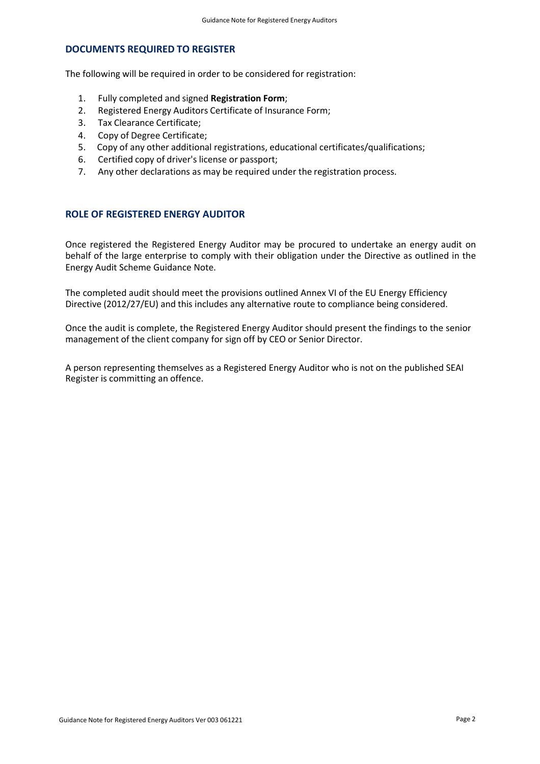# **DOCUMENTS REQUIRED TO REGISTER**

The following will be required in order to be considered for registration:

- 1. Fully completed and signed **Registration Form**;
- 2. Registered Energy Auditors Certificate of Insurance Form;
- 3. Tax Clearance Certificate;
- 4. Copy of Degree Certificate;<br>5. Copy of any other additiona
- 5. Copy of any other additional registrations, educational certificates/qualifications;
- 6. Certified copy of driver's license or passport;
- 7. Any other declarations as may be required under the registration process.

# **ROLE OF REGISTERED ENERGY AUDITOR**

Once registered the Registered Energy Auditor may be procured to undertake an energy audit on behalf of the large enterprise to comply with their obligation under the Directive as outlined in the Energy Audit Scheme Guidance Note.

The completed audit should meet the provisions outlined Annex VI of the EU Energy Efficiency Directive (2012/27/EU) and this includes any alternative route to compliance being considered.

Once the audit is complete, the Registered Energy Auditor should present the findings to the senior management of the client company for sign off by CEO or Senior Director.

A person representing themselves as a Registered Energy Auditor who is not on the published SEAI Register is committing an offence.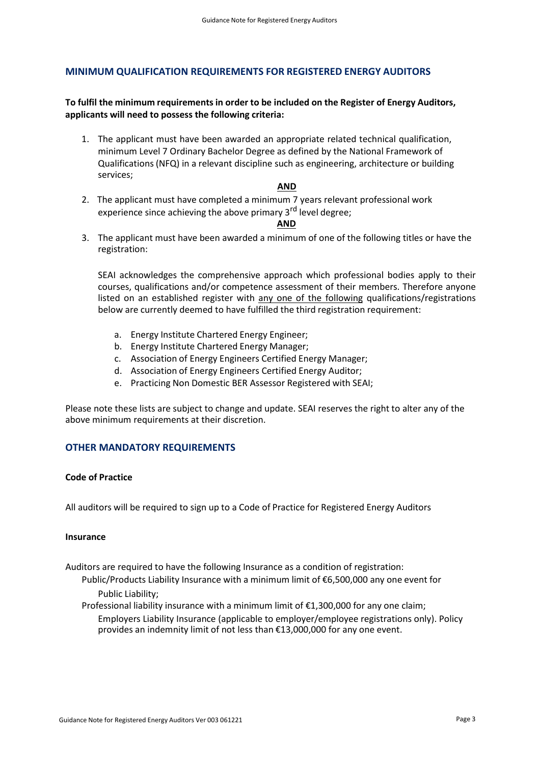## **MINIMUM QUALIFICATION REQUIREMENTS FOR REGISTERED ENERGY AUDITORS**

# **To fulfil the minimum requirementsin order to be included on the Register of Energy Auditors, applicants will need to possess the following criteria:**

1. The applicant must have been awarded an appropriate related technical qualification, minimum Level 7 Ordinary Bachelor Degree as defined by the National Framework of Qualifications (NFQ) in a relevant discipline such as engineering, architecture or building services;

## **AND**

2. The applicant must have completed a minimum 7 years relevant professional work experience since achieving the above primary 3<sup>rd</sup> level degree:

## **AND**

3. The applicant must have been awarded a minimum of one of the following titles or have the registration:

SEAI acknowledges the comprehensive approach which professional bodies apply to their courses, qualifications and/or competence assessment of their members. Therefore anyone listed on an established register with any one of the following qualifications/registrations below are currently deemed to have fulfilled the third registration requirement:

- a. Energy Institute Chartered Energy Engineer;
- b. Energy Institute Chartered Energy Manager;
- c. Association of Energy Engineers Certified Energy Manager;
- d. Association of Energy Engineers Certified Energy Auditor;
- e. Practicing Non Domestic BER Assessor Registered with SEAI;

Please note these lists are subject to change and update. SEAI reserves the right to alter any of the above minimum requirements at their discretion.

# **OTHER MANDATORY REQUIREMENTS**

#### **Code of Practice**

All auditors will be required to sign up to a Code of Practice for Registered Energy Auditors

#### **Insurance**

Auditors are required to have the following Insurance as a condition of registration:

Public/Products Liability Insurance with a minimum limit of €6,500,000 any one event for Public Liability;

Professional liability insurance with a minimum limit of €1,300,000 for any one claim; Employers Liability Insurance (applicable to employer/employee registrations only). Policy provides an indemnity limit of not less than €13,000,000 for any one event.